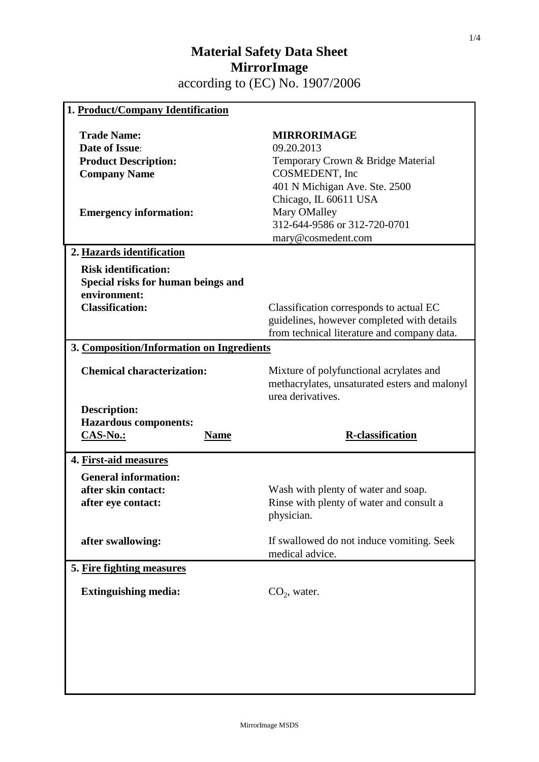| 1. Product/Company Identification                                                                                                  |                                                                                                                                                                                                                         |  |
|------------------------------------------------------------------------------------------------------------------------------------|-------------------------------------------------------------------------------------------------------------------------------------------------------------------------------------------------------------------------|--|
| <b>Trade Name:</b><br><b>Date of Issue:</b><br><b>Product Description:</b><br><b>Company Name</b><br><b>Emergency information:</b> | <b>MIRRORIMAGE</b><br>09.20.2013<br>Temporary Crown & Bridge Material<br>COSMEDENT, Inc<br>401 N Michigan Ave. Ste. 2500<br>Chicago, IL 60611 USA<br>Mary OMalley<br>312-644-9586 or 312-720-0701<br>mary@cosmedent.com |  |
| 2. Hazards identification                                                                                                          |                                                                                                                                                                                                                         |  |
| <b>Risk identification:</b><br>Special risks for human beings and<br>environment:<br><b>Classification:</b>                        | Classification corresponds to actual EC<br>guidelines, however completed with details<br>from technical literature and company data.                                                                                    |  |
| 3. Composition/Information on Ingredients                                                                                          |                                                                                                                                                                                                                         |  |
| <b>Chemical characterization:</b>                                                                                                  | Mixture of polyfunctional acrylates and<br>methacrylates, unsaturated esters and malonyl<br>urea derivatives.                                                                                                           |  |
|                                                                                                                                    |                                                                                                                                                                                                                         |  |
| <b>Description:</b><br><b>Hazardous components:</b><br><b>CAS-No.:</b><br><b>Name</b>                                              | <b>R-classification</b>                                                                                                                                                                                                 |  |
| 4. First-aid measures                                                                                                              |                                                                                                                                                                                                                         |  |
| <b>General information:</b><br>after skin contact:<br>after eye contact:                                                           | Wash with plenty of water and soap.<br>Rinse with plenty of water and consult a<br>physician.                                                                                                                           |  |
| after swallowing:                                                                                                                  | If swallowed do not induce vomiting. Seek<br>medical advice.                                                                                                                                                            |  |
| 5. Fire fighting measures                                                                                                          |                                                                                                                                                                                                                         |  |
| <b>Extinguishing media:</b>                                                                                                        | $CO2$ , water.                                                                                                                                                                                                          |  |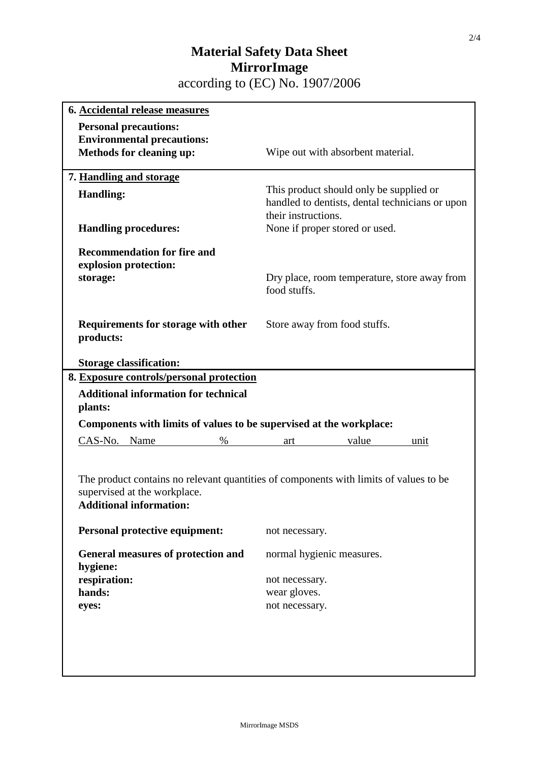| 6. Accidental release measures                                      |                                                                                       |
|---------------------------------------------------------------------|---------------------------------------------------------------------------------------|
| <b>Personal precautions:</b>                                        |                                                                                       |
| <b>Environmental precautions:</b>                                   |                                                                                       |
| Methods for cleaning up:                                            | Wipe out with absorbent material.                                                     |
| 7. Handling and storage                                             |                                                                                       |
| <b>Handling:</b>                                                    | This product should only be supplied or                                               |
|                                                                     | handled to dentists, dental technicians or upon<br>their instructions.                |
| <b>Handling procedures:</b>                                         | None if proper stored or used.                                                        |
| <b>Recommendation for fire and</b>                                  |                                                                                       |
| explosion protection:                                               |                                                                                       |
| storage:                                                            | Dry place, room temperature, store away from<br>food stuffs.                          |
|                                                                     |                                                                                       |
| Requirements for storage with other<br>products:                    | Store away from food stuffs.                                                          |
|                                                                     |                                                                                       |
| <b>Storage classification:</b>                                      |                                                                                       |
| 8. Exposure controls/personal protection                            |                                                                                       |
|                                                                     |                                                                                       |
| <b>Additional information for technical</b><br>plants:              |                                                                                       |
| Components with limits of values to be supervised at the workplace: |                                                                                       |
| CAS-No. Name<br>$\%$                                                | value<br>art<br>unit                                                                  |
| supervised at the workplace.<br><b>Additional information:</b>      | The product contains no relevant quantities of components with limits of values to be |
| <b>Personal protective equipment:</b>                               | not necessary.                                                                        |
| General measures of protection and                                  | normal hygienic measures.                                                             |
| hygiene:<br>respiration:                                            | not necessary.                                                                        |
| hands:                                                              | wear gloves.                                                                          |
| eyes:                                                               | not necessary.                                                                        |
|                                                                     |                                                                                       |
|                                                                     |                                                                                       |
|                                                                     |                                                                                       |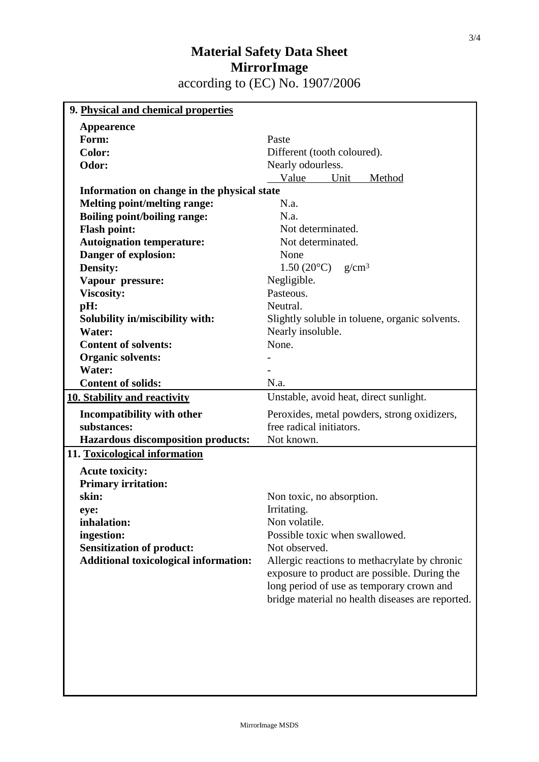| 9. Physical and chemical properties          |                                                  |
|----------------------------------------------|--------------------------------------------------|
| <b>Appearence</b>                            |                                                  |
| Form:                                        | Paste                                            |
| <b>Color:</b>                                | Different (tooth coloured).                      |
| Odor:                                        | Nearly odourless.                                |
|                                              | Value<br>Unit<br>Method                          |
| Information on change in the physical state  |                                                  |
| Melting point/melting range:                 | N.a.                                             |
| <b>Boiling point/boiling range:</b>          | N.a.                                             |
| <b>Flash point:</b>                          | Not determinated.                                |
| <b>Autoignation temperature:</b>             | Not determinated.                                |
| Danger of explosion:                         | None                                             |
| Density:                                     | 1.50 (20 $^{\circ}$ C) g/cm <sup>3</sup>         |
| Vapour pressure:                             | Negligible.                                      |
| <b>Viscosity:</b>                            | Pasteous.                                        |
| pH:                                          | Neutral.                                         |
| Solubility in/miscibility with:              | Slightly soluble in toluene, organic solvents.   |
| Water:                                       | Nearly insoluble.                                |
| <b>Content of solvents:</b>                  | None.                                            |
| <b>Organic solvents:</b>                     |                                                  |
| Water:                                       |                                                  |
| <b>Content of solids:</b>                    | N.a.                                             |
| <b>10. Stability and reactivity</b>          | Unstable, avoid heat, direct sunlight.           |
| Incompatibility with other                   | Peroxides, metal powders, strong oxidizers,      |
| substances:                                  | free radical initiators.                         |
| <b>Hazardous discomposition products:</b>    | Not known.                                       |
| 11. Toxicological information                |                                                  |
| <b>Acute toxicity:</b>                       |                                                  |
| <b>Primary irritation:</b>                   |                                                  |
| skin:                                        | Non toxic, no absorption.                        |
| eye:                                         | Irritating.                                      |
| inhalation:                                  | Non volatile.                                    |
| ingestion:                                   | Possible toxic when swallowed.                   |
| <b>Sensitization of product:</b>             | Not observed.                                    |
| <b>Additional toxicological information:</b> | Allergic reactions to methacrylate by chronic    |
|                                              | exposure to product are possible. During the     |
|                                              | long period of use as temporary crown and        |
|                                              | bridge material no health diseases are reported. |
|                                              |                                                  |
|                                              |                                                  |
|                                              |                                                  |
|                                              |                                                  |
|                                              |                                                  |